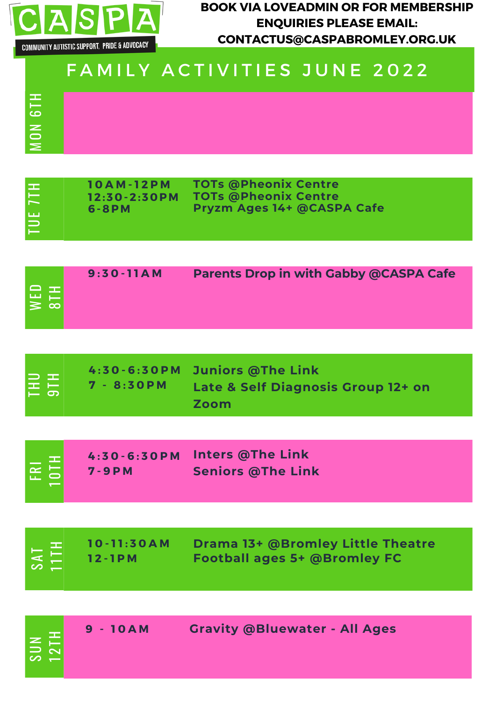

 $\geq$  $\bf\bf\bf\bf\bf\bf\bf\bf\bf\bf\bf\bf\bf\bf\bf\bf\bf$ Z <u>ယ</u>  $\equiv$ H **BOOK VIA LOVEADMIN OR FOR MEMBERSHIP ENQUIRIES PLEASE EMAIL: CONTACTUS@CASPABROMLEY.ORG.UK**

| <b>TUE 7TH</b>       | <b>10AM-12PM</b><br>$12:30 - 2:30$ PM<br>6-8PM | <b>TOTs @Pheonix Centre</b><br><b>TOTs @Pheonix Centre</b><br>Pryzm Ages 14+ @CASPA Cafe |
|----------------------|------------------------------------------------|------------------------------------------------------------------------------------------|
|                      |                                                |                                                                                          |
| NED<br>8TH           | $9:30-11AM$                                    | <b>Parents Drop in with Gabby @CASPA Cafe</b>                                            |
|                      |                                                |                                                                                          |
| $E_{\rm 5H}^{\rm 1}$ | $4:30 - 6:30 P M$<br>$7 - 8:30$ PM             | <b>Juniors @The Link</b><br>Late & Self Diagnosis Group 12+ on<br>Zoom                   |
|                      |                                                |                                                                                          |
| FRI<br>IOTH          | $4:30 - 6:30 P M$<br>$7 - 9 P M$               | <b>Inters @The Link</b><br><b>Seniors @The Link</b>                                      |
|                      |                                                |                                                                                          |
| <u>т.</u>            | 10 - 11:30 A M                                 | Drama 13+ @Bromley Little Theatre                                                        |

|              | $10 - 11:30AM$       | Drama 13+ @Bromley Little Theatre   |
|--------------|----------------------|-------------------------------------|
| $\infty$ $-$ | $\frac{10-11:30}{2}$ | <b>Football ages 5+ @Bromley FC</b> |

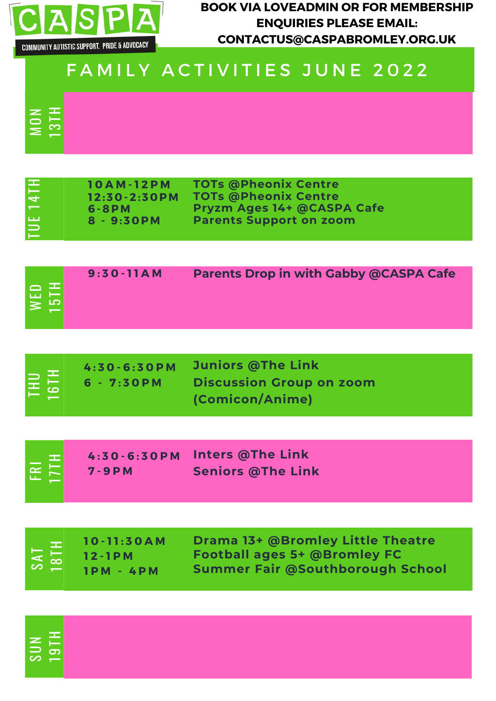

 $\geq$ O

တ  $\Box$  $\,$   $\,$ 

က္ $\vert$  $\overline{\phantom{a}}$ 

 $\overline{\phantom{0}}$ H

Z

<u>က</u>ု

H

 $\mathbf{r}$  $\overline{\phantom{0}}$  **BOOK VIA LOVEADMIN OR FOR MEMBERSHIP ENQUIRIES PLEASE EMAIL: CONTACTUS@CASPABROMLEY.ORG.UK**

| <b>TUE 14TH</b>              | <b>10AM-12PM</b><br>$12:30 - 2:30 P M$<br>$6 - 8 P M$<br>$8 - 9:30PM$ | <b>TOTs @Pheonix Centre</b><br><b>TOTs @Pheonix Centre</b><br>Pryzm Ages 14+ @CASPA Cafe<br><b>Parents Support on zoom</b> |
|------------------------------|-----------------------------------------------------------------------|----------------------------------------------------------------------------------------------------------------------------|
| WED<br>15TH                  | $9:30 - 11AM$                                                         | <b>Parents Drop in with Gabby @CASPA Cafe</b>                                                                              |
| THU<br>ISTH                  | $4:30 - 6:30 P M$<br>$6 - 7:30$ PM                                    | <b>Juniors @The Link</b><br><b>Discussion Group on zoom</b><br>(Comicon/Anime)                                             |
| FRI<br>17TH                  | $4:30 - 6:30 P M$<br>$7 - 9 P M$                                      | <b>Inters @The Link</b><br><b>Seniors @The Link</b>                                                                        |
| $\overline{5}$<br><b>TAS</b> | 10 - 11:30 A M<br>$12 - 1P M$<br>$IPM - 4PM$                          | <b>Drama 13+ @Bromley Little Theatre</b><br><b>Football ages 5+ @Bromley FC</b><br><b>Summer Fair @Southborough School</b> |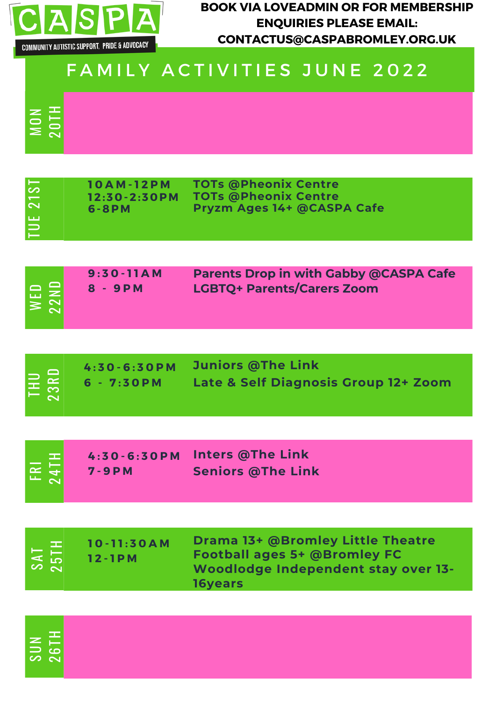

 $\geq$ OZ

တ  $\Box$  $\,$   $\,$  .<br>م  $\sim$  $\overline{\phantom{0}}$ H

9  $\bf\bf\bf\bf\bf\bf\bf\bf\bf\bf\bf\bf\bf\bf$  $\overline{\phantom{0}}$ H **BOOK VIA LOVEADMIN OR FOR MEMBERSHIP ENQUIRIES PLEASE EMAIL: CONTACTUS@CASPABROMLEY.ORG.UK**

| TUE 21ST | <b>10AM-12PM</b><br>$12:30 - 2:30 P M$<br>$6 - 8 P M$ | <b>TOTs @Pheonix Centre</b><br><b>TOTs @Pheonix Centre</b><br>Pryzm Ages 14+ @CASPA Cafe                                          |
|----------|-------------------------------------------------------|-----------------------------------------------------------------------------------------------------------------------------------|
|          |                                                       |                                                                                                                                   |
| WED      | $9:30-11AM$<br>8 - 9PM                                | <b>Parents Drop in with Gabby @CASPA Cafe</b><br><b>LGBTQ+ Parents/Carers Zoom</b>                                                |
|          |                                                       |                                                                                                                                   |
| 3R       | $4:30 - 6:30 P M$<br>$6 - 7:30$ PM                    | <b>Juniors @The Link</b><br><b>Late &amp; Self Diagnosis Group 12+ Zoom</b>                                                       |
|          |                                                       |                                                                                                                                   |
|          | $4:30 - 6:30 P M$<br>$7 - 9 P M$                      | <b>Inters @The Link</b><br><b>Seniors @The Link</b>                                                                               |
|          |                                                       |                                                                                                                                   |
|          | $10 - 11:30AM$<br>$12 - 1P M$                         | <b>Drama 13+ @Bromley Little Theatre</b><br><b>Football ages 5+ @Bromley FC</b><br>Woodlodge Independent stay over 13-<br>16years |
|          |                                                       |                                                                                                                                   |